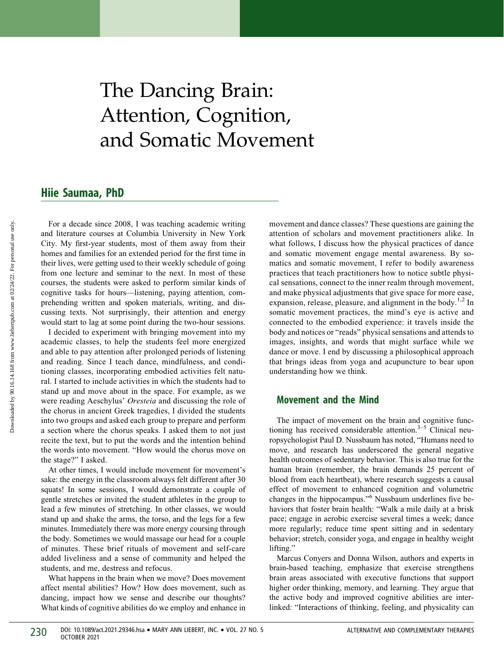# The Dancing Brain: Attention, Cognition, and Somatic Movement

## Hiie Saumaa, PhD

For a decade since 2008, I was teaching academic writing and literature courses at Columbia University in New York City. My first-year students, most of them away from their homes and families for an extended period for the first time in their lives, were getting used to their weekly schedule of going from one lecture and seminar to the next. In most of these courses, the students were asked to perform similar kinds of cognitive tasks for hours—listening, paying attention, comprehending written and spoken materials, writing, and discussing texts. Not surprisingly, their attention and energy would start to lag at some point during the two-hour sessions.

I decided to experiment with bringing movement into my academic classes, to help the students feel more energized and able to pay attention after prolonged periods of listening and reading. Since I teach dance, mindfulness, and conditioning classes, incorporating embodied activities felt natural. I started to include activities in which the students had to stand up and move about in the space. For example, as we were reading Aeschylus' Oresteia and discussing the role of the chorus in ancient Greek tragedies, I divided the students into two groups and asked each group to prepare and perform a section where the chorus speaks. I asked them to not just recite the text, but to put the words and the intention behind the words into movement. "How would the chorus move on the stage?" I asked.

At other times, I would include movement for movement's sake: the energy in the classroom always felt different after 30 squats! In some sessions, I would demonstrate a couple of gentle stretches or invited the student athletes in the group to lead a few minutes of stretching. In other classes, we would stand up and shake the arms, the torso, and the legs for a few minutes. Immediately there was more energy coursing through the body. Sometimes we would massage our head for a couple of minutes. These brief rituals of movement and self-care added liveliness and a sense of community and helped the students, and me, destress and refocus.

What happens in the brain when we move? Does movement affect mental abilities? How? How does movement, such as dancing, impact how we sense and describe our thoughts? What kinds of cognitive abilities do we employ and enhance in movement and dance classes? These questions are gaining the attention of scholars and movement practitioners alike. In what follows, I discuss how the physical practices of dance and somatic movement engage mental awareness. By somatics and somatic movement, I refer to bodily awareness practices that teach practitioners how to notice subtle physical sensations, connect to the inner realm through movement, and make physical adjustments that give space for more ease, expansion, release, pleasure, and alignment in the body.<sup>1,2</sup> In somatic movement practices, the mind's eye is active and connected to the embodied experience: it travels inside the body and notices or "reads" physical sensations and attends to images, insights, and words that might surface while we dance or move. I end by discussing a philosophical approach that brings ideas from yoga and acupuncture to bear upon understanding how we think.

#### Movement and the Mind

The impact of movement on the brain and cognitive functioning has received considerable attention. $3-5$  Clinical neuropsychologist Paul D. Nussbaum has noted, "Humans need to move, and research has underscored the general negative health outcomes of sedentary behavior. This is also true for the human brain (remember, the brain demands 25 percent of blood from each heartbeat), where research suggests a causal effect of movement to enhanced cognition and volumetric changes in the hippocampus."<sup>6</sup> Nussbaum underlines five behaviors that foster brain health: "Walk a mile daily at a brisk pace; engage in aerobic exercise several times a week; dance more regularly; reduce time spent sitting and in sedentary behavior; stretch, consider yoga, and engage in healthy weight lifting."

Marcus Conyers and Donna Wilson, authors and experts in brain-based teaching, emphasize that exercise strengthens brain areas associated with executive functions that support higher order thinking, memory, and learning. They argue that the active body and improved cognitive abilities are interlinked: "Interactions of thinking, feeling, and physicality can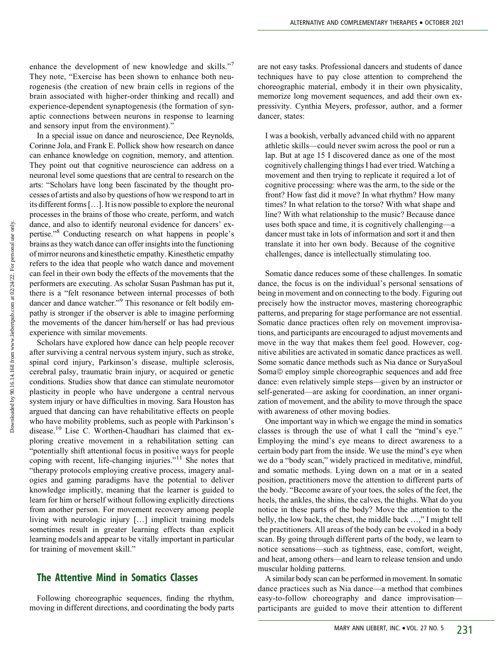enhance the development of new knowledge and skills."<sup>7</sup> They note, "Exercise has been shown to enhance both neurogenesis (the creation of new brain cells in regions of the brain associated with higher-order thinking and recall) and experience-dependent synaptogenesis (the formation of synaptic connections between neurons in response to learning and sensory input from the environment)."

In a special issue on dance and neuroscience, Dee Reynolds, Corinne Jola, and Frank E. Pollick show how research on dance can enhance knowledge on cognition, memory, and attention. They point out that cognitive neuroscience can address on a neuronal level some questions that are central to research on the arts: "Scholars have long been fascinated by the thought processes of artists and also by questions of how we respond to art in its different forms [...]. It is now possible to explore the neuronal processes in the brains of those who create, perform, and watch dance, and also to identify neuronal evidence for dancers' expertise."8 Conducting research on what happens in people's brains as they watch dance can offer insights into the functioning of mirror neurons and kinesthetic empathy. Kinesthetic empathy refers to the idea that people who watch dance and movement can feel in their own body the effects of the movements that the performers are executing. As scholar Susan Pashman has put it, there is a "felt resonance between internal processes of both dancer and dance watcher."<sup>9</sup> This resonance or felt bodily empathy is stronger if the observer is able to imagine performing the movements of the dancer him/herself or has had previous experience with similar movements.

Scholars have explored how dance can help people recover after surviving a central nervous system injury, such as stroke, spinal cord injury, Parkinson's disease, multiple sclerosis, cerebral palsy, traumatic brain injury, or acquired or genetic conditions. Studies show that dance can stimulate neuromotor plasticity in people who have undergone a central nervous system injury or have difficulties in moving. Sara Houston has argued that dancing can have rehabilitative effects on people who have mobility problems, such as people with Parkinson's disease.<sup>10</sup> Lise C. Worthen-Chaudhari has claimed that exploring creative movement in a rehabilitation setting can "potentially shift attentional focus in positive ways for people coping with recent, life-changing injuries."<sup>11</sup> She notes that "therapy protocols employing creative process, imagery analogies and gaming paradigms have the potential to deliver knowledge implicitly, meaning that the learner is guided to learn for him or herself without following explicitly directions from another person. For movement recovery among people living with neurologic injury [...] implicit training models sometimes result in greater learning effects than explicit learning models and appear to be vitally important in particular for training of movement skill."

### The Attentive Mind in Somatics Classes

Following choreographic sequences, finding the rhythm, moving in different directions, and coordinating the body parts are not easy tasks. Professional dancers and students of dance techniques have to pay close attention to comprehend the choreographic material, embody it in their own physicality, memorize long movement sequences, and add their own expressivity. Cynthia Meyers, professor, author, and a former dancer, states:

I was a bookish, verbally advanced child with no apparent athletic skills—could never swim across the pool or run a lap. But at age 15 I discovered dance as one of the most cognitively challenging things I had ever tried. Watching a movement and then trying to replicate it required a lot of cognitive processing: where was the arm, to the side or the front? How fast did it move? In what rhythm? How many times? In what relation to the torso? With what shape and line? With what relationship to the music? Because dance uses both space and time, it is cognitively challenging—a dancer must take in lots of information and sort it and then translate it into her own body. Because of the cognitive challenges, dance is intellectually stimulating too.

Somatic dance reduces some of these challenges. In somatic dance, the focus is on the individual's personal sensations of being in movement and on connecting to the body. Figuring out precisely how the instructor moves, mastering choreographic patterns, and preparing for stage performance are not essential. Somatic dance practices often rely on movement improvisations, and participants are encouraged to adjust movements and move in the way that makes them feel good. However, cognitive abilities are activated in somatic dance practices as well. Some somatic dance methods such as Nia dance or SuryaSoul Soma© employ simple choreographic sequences and add free dance: even relatively simple steps—given by an instructor or self-generated—are asking for coordination, an inner organization of movement, and the ability to move through the space with awareness of other moving bodies.

One important way in which we engage the mind in somatics classes is through the use of what I call the "mind's eye." Employing the mind's eye means to direct awareness to a certain body part from the inside. We use the mind's eye when we do a "body scan," widely practiced in meditative, mindful, and somatic methods. Lying down on a mat or in a seated position, practitioners move the attention to different parts of the body. "Become aware of your toes, the soles of the feet, the heels, the ankles, the shins, the calves, the thighs. What do you notice in these parts of the body? Move the attention to the belly, the low back, the chest, the middle back ...," I might tell the practitioners. All areas of the body can be evoked in a body scan. By going through different parts of the body, we learn to notice sensations—such as tightness, ease, comfort, weight, and heat, among others—and learn to release tension and undo muscular holding patterns.

A similar body scan can be performed in movement. In somatic dance practices such as Nia dance—a method that combines easy-to-follow choreography and dance improvisation participants are guided to move their attention to different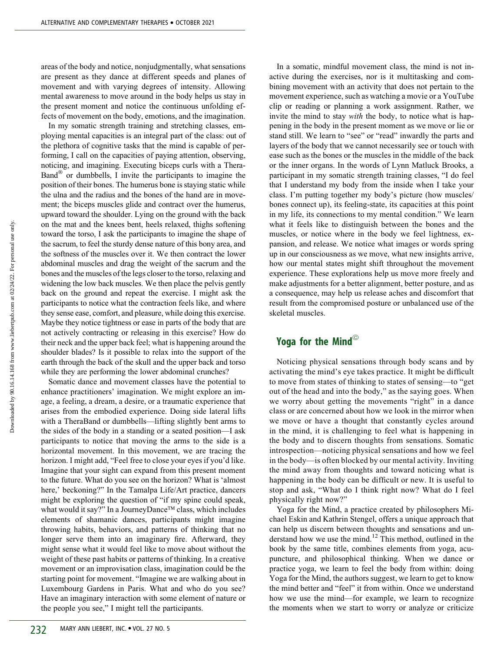areas of the body and notice, nonjudgmentally, what sensations are present as they dance at different speeds and planes of movement and with varying degrees of intensity. Allowing mental awareness to move around in the body helps us stay in the present moment and notice the continuous unfolding effects of movement on the body, emotions, and the imagination.

In my somatic strength training and stretching classes, employing mental capacities is an integral part of the class: out of the plethora of cognitive tasks that the mind is capable of performing, I call on the capacities of paying attention, observing, noticing, and imagining. Executing biceps curls with a Thera-Band<sup>®</sup> or dumbbells, I invite the participants to imagine the position of their bones. The humerus bone is staying static while the ulna and the radius and the bones of the hand are in movement; the biceps muscles glide and contract over the humerus, upward toward the shoulder. Lying on the ground with the back on the mat and the knees bent, heels relaxed, thighs softening toward the torso, I ask the participants to imagine the shape of the sacrum, to feel the sturdy dense nature of this bony area, and the softness of the muscles over it. We then contract the lower abdominal muscles and drag the weight of the sacrum and the bones and the muscles of the legs closer to the torso, relaxing and widening the low back muscles. We then place the pelvis gently back on the ground and repeat the exercise. I might ask the participants to notice what the contraction feels like, and where they sense ease, comfort, and pleasure, while doing this exercise. Maybe they notice tightness or ease in parts of the body that are not actively contracting or releasing in this exercise? How do their neck and the upper back feel; what is happening around the shoulder blades? Is it possible to relax into the support of the earth through the back of the skull and the upper back and torso while they are performing the lower abdominal crunches?

Somatic dance and movement classes have the potential to enhance practitioners' imagination. We might explore an image, a feeling, a dream, a desire, or a traumatic experience that arises from the embodied experience. Doing side lateral lifts with a TheraBand or dumbbells—lifting slightly bent arms to the sides of the body in a standing or a seated position—I ask participants to notice that moving the arms to the side is a horizontal movement. In this movement, we are tracing the horizon. I might add, "Feel free to close your eyes if you'd like. Imagine that your sight can expand from this present moment to the future. What do you see on the horizon? What is 'almost here,' beckoning?" In the Tamalpa Life/Art practice, dancers might be exploring the question of "if my spine could speak, what would it say?" In a JourneyDance™ class, which includes elements of shamanic dances, participants might imagine throwing habits, behaviors, and patterns of thinking that no longer serve them into an imaginary fire. Afterward, they might sense what it would feel like to move about without the weight of these past habits or patterns of thinking. In a creative movement or an improvisation class, imagination could be the starting point for movement. "Imagine we are walking about in Luxembourg Gardens in Paris. What and who do you see? Have an imaginary interaction with some element of nature or the people you see," I might tell the participants.

In a somatic, mindful movement class, the mind is not inactive during the exercises, nor is it multitasking and combining movement with an activity that does not pertain to the movement experience, such as watching a movie or a YouTube clip or reading or planning a work assignment. Rather, we invite the mind to stay *with* the body, to notice what is happening in the body in the present moment as we move or lie or stand still. We learn to "see" or "read" inwardly the parts and layers of the body that we cannot necessarily see or touch with ease such as the bones or the muscles in the middle of the back or the inner organs. In the words of Lynn Matluck Brooks, a participant in my somatic strength training classes, "I do feel that I understand my body from the inside when I take your class. I'm putting together my body's picture (how muscles/ bones connect up), its feeling-state, its capacities at this point in my life, its connections to my mental condition." We learn what it feels like to distinguish between the bones and the muscles, or notice where in the body we feel lightness, expansion, and release. We notice what images or words spring up in our consciousness as we move, what new insights arrive, how our mental states might shift throughout the movement experience. These explorations help us move more freely and make adjustments for a better alignment, better posture, and as a consequence, may help us release aches and discomfort that result from the compromised posture or unbalanced use of the skeletal muscles.

# Yoga for the Mind<sup>®</sup>

Noticing physical sensations through body scans and by activating the mind's eye takes practice. It might be difficult to move from states of thinking to states of sensing—to "get out of the head and into the body," as the saying goes. When we worry about getting the movements "right" in a dance class or are concerned about how we look in the mirror when we move or have a thought that constantly cycles around in the mind, it is challenging to feel what is happening in the body and to discern thoughts from sensations. Somatic introspection—noticing physical sensations and how we feel in the body—is often blocked by our mental activity. Inviting the mind away from thoughts and toward noticing what is happening in the body can be difficult or new. It is useful to stop and ask, "What do I think right now? What do I feel physically right now?"

Yoga for the Mind, a practice created by philosophers Michael Eskin and Kathrin Stengel, offers a unique approach that can help us discern between thoughts and sensations and understand how we use the mind.<sup>12</sup> This method, outlined in the book by the same title, combines elements from yoga, acupuncture, and philosophical thinking. When we dance or practice yoga, we learn to feel the body from within: doing Yoga for the Mind, the authors suggest, we learn to get to know the mind better and "feel" it from within. Once we understand how we use the mind—for example, we learn to recognize the moments when we start to worry or analyze or criticize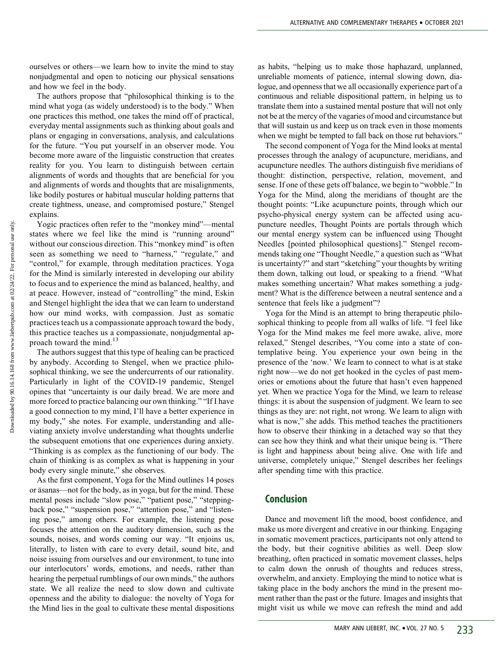ourselves or others—we learn how to invite the mind to stay nonjudgmental and open to noticing our physical sensations and how we feel in the body.

The authors propose that "philosophical thinking is to the mind what yoga (as widely understood) is to the body." When one practices this method, one takes the mind off of practical, everyday mental assignments such as thinking about goals and plans or engaging in conversations, analysis, and calculations for the future. "You put yourself in an observer mode. You become more aware of the linguistic construction that creates reality for you. You learn to distinguish between certain alignments of words and thoughts that are beneficial for you and alignments of words and thoughts that are misalignments, like bodily postures or habitual muscular holding patterns that create tightness, unease, and compromised posture," Stengel explains.

Yogic practices often refer to the "monkey mind"—mental states where we feel like the mind is "running around" without our conscious direction. This "monkey mind" is often seen as something we need to "harness," "regulate," and "control," for example, through meditation practices. Yoga for the Mind is similarly interested in developing our ability to focus and to experience the mind as balanced, healthy, and at peace. However, instead of "controlling" the mind, Eskin and Stengel highlight the idea that we can learn to understand how our mind works, with compassion. Just as somatic practices teach us a compassionate approach toward the body, this practice teaches us a compassionate, nonjudgmental approach toward the mind. $13$ 

The authors suggest that this type of healing can be practiced by anybody. According to Stengel, when we practice philosophical thinking, we see the undercurrents of our rationality. Particularly in light of the COVID-19 pandemic, Stengel opines that "uncertainty is our daily bread. We are more and more forced to practice balancing our own thinking." "If I have a good connection to my mind, I'll have a better experience in my body," she notes. For example, understanding and alleviating anxiety involve understanding what thoughts underlie the subsequent emotions that one experiences during anxiety. "Thinking is as complex as the functioning of our body. The chain of thinking is as complex as what is happening in your body every single minute," she observes.

As the first component, Yoga for the Mind outlines 14 poses or asanas—not for the body, as in yoga, but for the mind. These mental poses include "slow pose," "patient pose," "steppingback pose," "suspension pose," "attention pose," and "listening pose," among others. For example, the listening pose focuses the attention on the auditory dimension, such as the sounds, noises, and words coming our way. "It enjoins us, literally, to listen with care to every detail, sound bite, and noise issuing from ourselves and our environment, to tune into our interlocutors' words, emotions, and needs, rather than hearing the perpetual rumblings of our own minds," the authors state. We all realize the need to slow down and cultivate openness and the ability to dialogue: the novelty of Yoga for the Mind lies in the goal to cultivate these mental dispositions as habits, "helping us to make those haphazard, unplanned, unreliable moments of patience, internal slowing down, dialogue, and openness that we all occasionally experience part of a continuous and reliable dispositional pattern, in helping us to translate them into a sustained mental posture that will not only not be at the mercy of the vagaries of mood and circumstance but that will sustain us and keep us on track even in those moments when we might be tempted to fall back on those rut behaviors."

The second component of Yoga for the Mind looks at mental processes through the analogy of acupuncture, meridians, and acupuncture needles. The authors distinguish five meridians of thought: distinction, perspective, relation, movement, and sense. If one of these gets off balance, we begin to "wobble." In Yoga for the Mind, along the meridians of thought are the thought points: "Like acupuncture points, through which our psycho-physical energy system can be affected using acupuncture needles, Thought Points are portals through which our mental energy system can be influenced using Thought Needles [pointed philosophical questions]." Stengel recommends taking one "Thought Needle," a question such as "What is uncertainty?" and start "sketching" your thoughts by writing them down, talking out loud, or speaking to a friend. "What makes something uncertain? What makes something a judgment? What is the difference between a neutral sentence and a sentence that feels like a judgment"?

Yoga for the Mind is an attempt to bring therapeutic philosophical thinking to people from all walks of life. "I feel like Yoga for the Mind makes me feel more awake, alive, more relaxed," Stengel describes, "You come into a state of contemplative being. You experience your own being in the presence of the 'now.' We learn to connect to what is at stake right now—we do not get hooked in the cycles of past memories or emotions about the future that hasn't even happened yet. When we practice Yoga for the Mind, we learn to release things: it is about the suspension of judgment. We learn to see things as they are: not right, not wrong. We learn to align with what is now," she adds. This method teaches the practitioners how to observe their thinking in a detached way so that they can see how they think and what their unique being is. "There is light and happiness about being alive. One with life and universe, completely unique," Stengel describes her feelings after spending time with this practice.

### **Conclusion**

Dance and movement lift the mood, boost confidence, and make us more divergent and creative in our thinking. Engaging in somatic movement practices, participants not only attend to the body, but their cognitive abilities as well. Deep slow breathing, often practiced in somatic movement classes, helps to calm down the onrush of thoughts and reduces stress, overwhelm, and anxiety. Employing the mind to notice what is taking place in the body anchors the mind in the present moment rather than the past or the future. Images and insights that might visit us while we move can refresh the mind and add